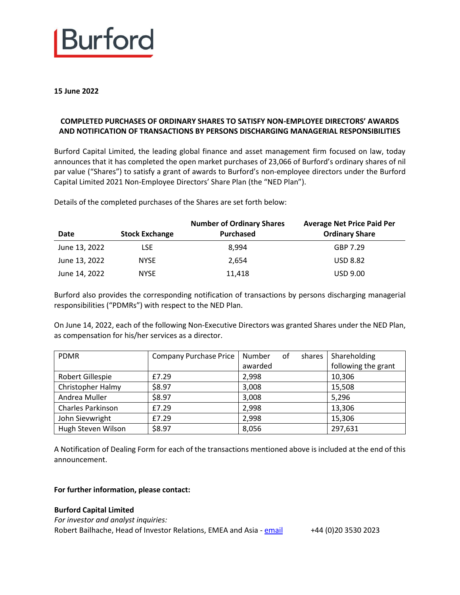

**15 June 2022**

## **COMPLETED PURCHASES OF ORDINARY SHARES TO SATISFY NON-EMPLOYEE DIRECTORS' AWARDS AND NOTIFICATION OF TRANSACTIONS BY PERSONS DISCHARGING MANAGERIAL RESPONSIBILITIES**

Burford Capital Limited, the leading global finance and asset management firm focused on law, today announces that it has completed the open market purchases of 23,066 of Burford's ordinary shares of nil par value ("Shares") to satisfy a grant of awards to Burford's non-employee directors under the Burford Capital Limited 2021 Non-Employee Directors' Share Plan (the "NED Plan").

Details of the completed purchases of the Shares are set forth below:

| Date          | <b>Stock Exchange</b> | <b>Number of Ordinary Shares</b><br>Purchased | <b>Average Net Price Paid Per</b><br><b>Ordinary Share</b> |
|---------------|-----------------------|-----------------------------------------------|------------------------------------------------------------|
| June 13, 2022 | LSE                   | 8.994                                         | GBP 7.29                                                   |
| June 13, 2022 | <b>NYSE</b>           | 2.654                                         | <b>USD 8.82</b>                                            |
| June 14, 2022 | <b>NYSE</b>           | 11,418                                        | <b>USD 9.00</b>                                            |

Burford also provides the corresponding notification of transactions by persons discharging managerial responsibilities ("PDMRs") with respect to the NED Plan.

On June 14, 2022, each of the following Non-Executive Directors was granted Shares under the NED Plan, as compensation for his/her services as a director.

| <b>PDMR</b>              | <b>Company Purchase Price</b> | Number  | 0f | shares | Shareholding        |
|--------------------------|-------------------------------|---------|----|--------|---------------------|
|                          |                               | awarded |    |        | following the grant |
| Robert Gillespie         | £7.29                         | 2,998   |    |        | 10,306              |
| Christopher Halmy        | \$8.97                        | 3,008   |    |        | 15,508              |
| Andrea Muller            | \$8.97                        | 3,008   |    |        | 5,296               |
| <b>Charles Parkinson</b> | £7.29                         | 2,998   |    |        | 13,306              |
| John Sievwright          | £7.29                         | 2,998   |    |        | 15,306              |
| Hugh Steven Wilson       | \$8.97                        | 8,056   |    |        | 297,631             |

A Notification of Dealing Form for each of the transactions mentioned above is included at the end of this announcement.

### **For further information, please contact:**

#### **Burford Capital Limited**

*For investor and analyst inquiries:* Robert Bailhache, Head of Investor Relations, EMEA and Asia - [email](mailto:rbailhache@burfordcapital.com) +44 (0)20 3530 2023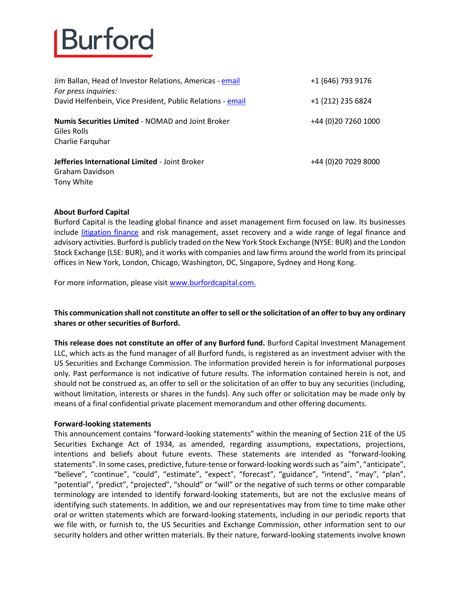

| Jim Ballan, Head of Investor Relations, Americas - email<br>For press inquiries:            | +1 (646) 793 9176    |
|---------------------------------------------------------------------------------------------|----------------------|
| David Helfenbein, Vice President, Public Relations - email                                  | +1 (212) 235 6824    |
| <b>Numis Securities Limited - NOMAD and Joint Broker</b><br>Giles Rolls<br>Charlie Farquhar | +44 (0) 20 7260 1000 |
| Jefferies International Limited - Joint Broker<br>Graham Davidson<br>Tony White             | +44 (0)20 7029 8000  |

### **About Burford Capital**

Burford Capital is the leading global finance and asset management firm focused on law. Its businesses include [litigation finance](https://www.burfordcapital.com/) and risk management, asset recovery and a wide range of legal finance and advisory activities. Burford is publicly traded on the New York Stock Exchange (NYSE: BUR) and the London Stock Exchange (LSE: BUR), and it works with companies and law firms around the world from its principal offices in New York, London, Chicago, Washington, DC, Singapore, Sydney and Hong Kong.

For more information, please visi[t www.burfordcapital.com.](http://www.burfordcapital.com/)

## **This communication shall not constitute an offer to sell or the solicitation of an offer to buy any ordinary shares or other securities of Burford.**

**This release does not constitute an offer of any Burford fund.** Burford Capital Investment Management LLC, which acts as the fund manager of all Burford funds, is registered as an investment adviser with the US Securities and Exchange Commission. The information provided herein is for informational purposes only. Past performance is not indicative of future results. The information contained herein is not, and should not be construed as, an offer to sell or the solicitation of an offer to buy any securities (including, without limitation, interests or shares in the funds). Any such offer or solicitation may be made only by means of a final confidential private placement memorandum and other offering documents.

#### **Forward-looking statements**

This announcement contains "forward-looking statements" within the meaning of Section 21E of the US Securities Exchange Act of 1934, as amended, regarding assumptions, expectations, projections, intentions and beliefs about future events. These statements are intended as "forward-looking statements". In some cases, predictive, future-tense or forward-looking words such as "aim", "anticipate", "believe", "continue", "could", "estimate", "expect", "forecast", "guidance", "intend", "may", "plan", "potential", "predict", "projected", "should" or "will" or the negative of such terms or other comparable terminology are intended to identify forward-looking statements, but are not the exclusive means of identifying such statements. In addition, we and our representatives may from time to time make other oral or written statements which are forward-looking statements, including in our periodic reports that we file with, or furnish to, the US Securities and Exchange Commission, other information sent to our security holders and other written materials. By their nature, forward-looking statements involve known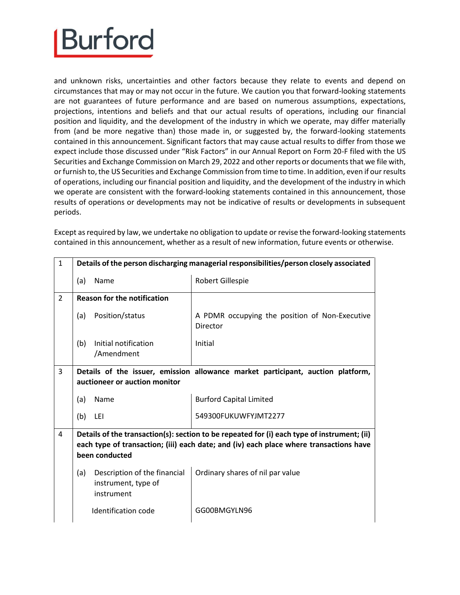and unknown risks, uncertainties and other factors because they relate to events and depend on circumstances that may or may not occur in the future. We caution you that forward-looking statements are not guarantees of future performance and are based on numerous assumptions, expectations, projections, intentions and beliefs and that our actual results of operations, including our financial position and liquidity, and the development of the industry in which we operate, may differ materially from (and be more negative than) those made in, or suggested by, the forward-looking statements contained in this announcement. Significant factors that may cause actual results to differ from those we expect include those discussed under "Risk Factors" in our Annual Report on Form 20-F filed with the US Securities and Exchange Commission on March 29, 2022 and other reports or documents that we file with, or furnish to, the US Securities and Exchange Commission from time to time. In addition, even if our results of operations, including our financial position and liquidity, and the development of the industry in which we operate are consistent with the forward-looking statements contained in this announcement, those results of operations or developments may not be indicative of results or developments in subsequent periods.

1 **Details of the person discharging managerial responsibilities/person closely associated** (a) Name Robert Gillespie 2 **Reason for the notification** (a) Position/status  $\begin{vmatrix} A & PDMR & Occupp\gamma \\ A & Od & PDMR \end{vmatrix}$  a the position of Non-Executive Director (b) Initial notification /Amendment Initial 3 **Details of the issuer, emission allowance market participant, auction platform, auctioneer or auction monitor** (a) Name **Burford Capital Limited** (b) LEI 549300FUKUWFYJMT2277 4 **Details of the transaction(s): section to be repeated for (i) each type of instrument; (ii) each type of transaction; (iii) each date; and (iv) each place where transactions have been conducted** (a) Description of the financial instrument, type of instrument Ordinary shares of nil par value Identification code | GG00BMGYLN96

Except as required by law, we undertake no obligation to update or revise the forward-looking statements contained in this announcement, whether as a result of new information, future events or otherwise.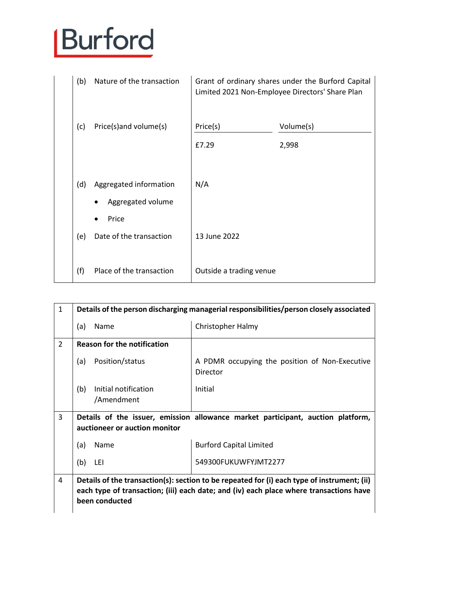| (b) | Nature of the transaction | Grant of ordinary shares under the Burford Capital<br>Limited 2021 Non-Employee Directors' Share Plan |           |
|-----|---------------------------|-------------------------------------------------------------------------------------------------------|-----------|
| (c) | Price(s)and volume(s)     | Price(s)                                                                                              | Volume(s) |
|     |                           | £7.29                                                                                                 | 2,998     |
|     |                           |                                                                                                       |           |
| (d) | Aggregated information    | N/A                                                                                                   |           |
|     | Aggregated volume         |                                                                                                       |           |
|     | Price                     |                                                                                                       |           |
| (e) | Date of the transaction   | 13 June 2022                                                                                          |           |
|     |                           |                                                                                                       |           |
| (f) | Place of the transaction  | Outside a trading venue                                                                               |           |

| $\mathbf{1}$   |                                                                                                                  | Details of the person discharging managerial responsibilities/person closely associated                                                                                               |  |
|----------------|------------------------------------------------------------------------------------------------------------------|---------------------------------------------------------------------------------------------------------------------------------------------------------------------------------------|--|
|                | Name<br>(a)                                                                                                      | Christopher Halmy                                                                                                                                                                     |  |
| $\overline{2}$ | <b>Reason for the notification</b>                                                                               |                                                                                                                                                                                       |  |
|                | Position/status<br>(a)                                                                                           | A PDMR occupying the position of Non-Executive<br>Director                                                                                                                            |  |
|                | Initial notification<br>(b)<br>/Amendment                                                                        | Initial                                                                                                                                                                               |  |
| 3              | Details of the issuer, emission allowance market participant, auction platform,<br>auctioneer or auction monitor |                                                                                                                                                                                       |  |
|                | Name<br>(a)                                                                                                      | <b>Burford Capital Limited</b>                                                                                                                                                        |  |
|                | (b)<br>LEI                                                                                                       | 549300FUKUWFYJMT2277                                                                                                                                                                  |  |
| 4              | been conducted                                                                                                   | Details of the transaction(s): section to be repeated for (i) each type of instrument; (ii)<br>each type of transaction; (iii) each date; and (iv) each place where transactions have |  |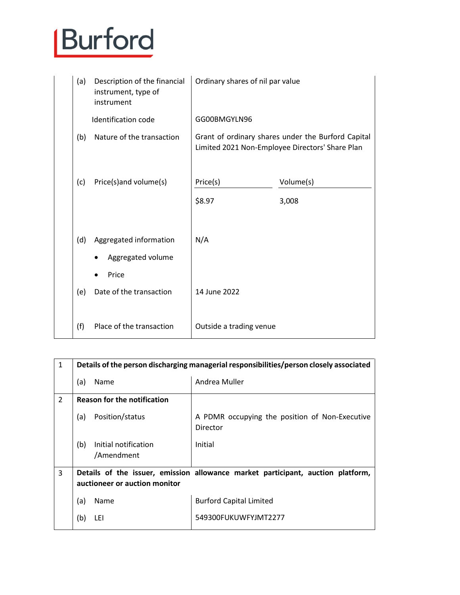| (a) | Description of the financial<br>instrument, type of<br>instrument | Ordinary shares of nil par value                                                                      |           |
|-----|-------------------------------------------------------------------|-------------------------------------------------------------------------------------------------------|-----------|
|     | Identification code                                               | GG00BMGYLN96                                                                                          |           |
| (b) | Nature of the transaction                                         | Grant of ordinary shares under the Burford Capital<br>Limited 2021 Non-Employee Directors' Share Plan |           |
| (c) | Price(s)and volume(s)                                             | Price(s)                                                                                              | Volume(s) |
|     |                                                                   | \$8.97                                                                                                | 3,008     |
| (d) | Aggregated information<br>Aggregated volume                       | N/A                                                                                                   |           |
| (e) | Price<br>Date of the transaction                                  | 14 June 2022                                                                                          |           |
| (f) | Place of the transaction                                          | Outside a trading venue                                                                               |           |

| $\mathbf{1}$   | Details of the person discharging managerial responsibilities/person closely associated                          |                                                            |  |  |
|----------------|------------------------------------------------------------------------------------------------------------------|------------------------------------------------------------|--|--|
|                | (a)<br>Name                                                                                                      | Andrea Muller                                              |  |  |
| $\overline{2}$ | <b>Reason for the notification</b>                                                                               |                                                            |  |  |
|                | Position/status<br>(a)                                                                                           | A PDMR occupying the position of Non-Executive<br>Director |  |  |
|                | Initial notification<br>(b)<br>/Amendment                                                                        | Initial                                                    |  |  |
| $\overline{3}$ | Details of the issuer, emission allowance market participant, auction platform,<br>auctioneer or auction monitor |                                                            |  |  |
|                | (a)<br>Name                                                                                                      | <b>Burford Capital Limited</b>                             |  |  |
|                | (b)<br>LEI                                                                                                       | 549300FUKUWFYJMT2277                                       |  |  |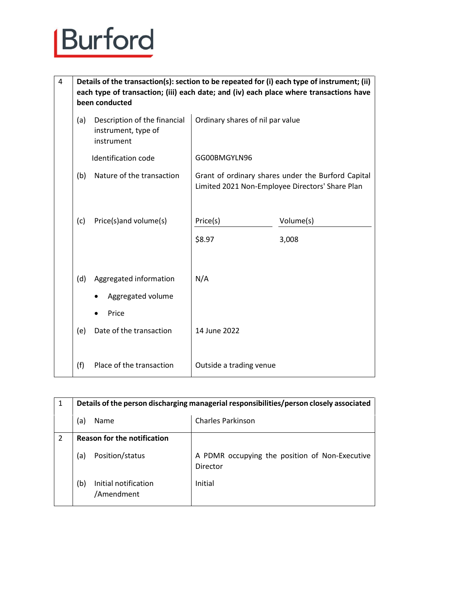4 **Details of the transaction(s): section to be repeated for (i) each type of instrument; (ii) each type of transaction; (iii) each date; and (iv) each place where transactions have been conducted**

| (a) | Description of the financial<br>instrument, type of<br>instrument | Ordinary shares of nil par value                                                                      |                    |
|-----|-------------------------------------------------------------------|-------------------------------------------------------------------------------------------------------|--------------------|
|     | Identification code                                               | GG00BMGYLN96                                                                                          |                    |
| (b) | Nature of the transaction                                         | Grant of ordinary shares under the Burford Capital<br>Limited 2021 Non-Employee Directors' Share Plan |                    |
| (c) | Price(s)and volume(s)                                             | Price(s)<br>\$8.97                                                                                    | Volume(s)<br>3,008 |
| (d) | Aggregated information<br>Aggregated volume<br>Price              | N/A                                                                                                   |                    |
| (e) | Date of the transaction                                           | 14 June 2022                                                                                          |                    |
| (f) | Place of the transaction                                          | Outside a trading venue                                                                               |                    |

| 1 |                                    | Details of the person discharging managerial responsibilities/person closely associated |                                                            |  |  |
|---|------------------------------------|-----------------------------------------------------------------------------------------|------------------------------------------------------------|--|--|
|   | (a)                                | Name                                                                                    | <b>Charles Parkinson</b>                                   |  |  |
| 2 | <b>Reason for the notification</b> |                                                                                         |                                                            |  |  |
|   | (a)                                | Position/status                                                                         | A PDMR occupying the position of Non-Executive<br>Director |  |  |
|   | (b)                                | Initial notification<br>/Amendment                                                      | Initial                                                    |  |  |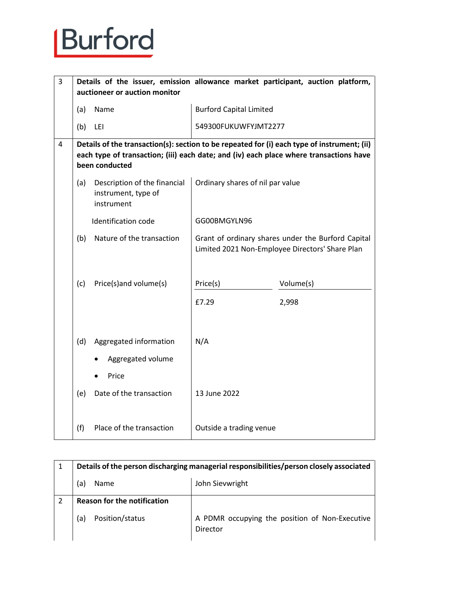| 3 |                                                                                                                                                                                                         | auctioneer or auction monitor                                     |                                                                                                                                                           | Details of the issuer, emission allowance market participant, auction platform, |
|---|---------------------------------------------------------------------------------------------------------------------------------------------------------------------------------------------------------|-------------------------------------------------------------------|-----------------------------------------------------------------------------------------------------------------------------------------------------------|---------------------------------------------------------------------------------|
|   | (a)                                                                                                                                                                                                     | Name                                                              | <b>Burford Capital Limited</b>                                                                                                                            |                                                                                 |
|   | (b)                                                                                                                                                                                                     | LEI                                                               | 549300FUKUWFYJMT2277                                                                                                                                      |                                                                                 |
| 4 | Details of the transaction(s): section to be repeated for (i) each type of instrument; (ii)<br>each type of transaction; (iii) each date; and (iv) each place where transactions have<br>been conducted |                                                                   |                                                                                                                                                           |                                                                                 |
|   | (a)                                                                                                                                                                                                     | Description of the financial<br>instrument, type of<br>instrument | Ordinary shares of nil par value<br>GG00BMGYLN96<br>Grant of ordinary shares under the Burford Capital<br>Limited 2021 Non-Employee Directors' Share Plan |                                                                                 |
|   |                                                                                                                                                                                                         | Identification code                                               |                                                                                                                                                           |                                                                                 |
|   | (b)                                                                                                                                                                                                     | Nature of the transaction                                         |                                                                                                                                                           |                                                                                 |
|   | (c)                                                                                                                                                                                                     | Price(s)and volume(s)                                             | Price(s)                                                                                                                                                  | Volume(s)                                                                       |
|   |                                                                                                                                                                                                         |                                                                   | £7.29                                                                                                                                                     | 2,998                                                                           |
|   | (d)                                                                                                                                                                                                     | Aggregated information<br>Aggregated volume<br>Price              | N/A                                                                                                                                                       |                                                                                 |
|   | (e)                                                                                                                                                                                                     | Date of the transaction                                           | 13 June 2022                                                                                                                                              |                                                                                 |
|   | (f)                                                                                                                                                                                                     | Place of the transaction                                          | Outside a trading venue                                                                                                                                   |                                                                                 |

| Details of the person discharging managerial responsibilities/person closely associated |                                                            |  |
|-----------------------------------------------------------------------------------------|------------------------------------------------------------|--|
| Name<br>(a)                                                                             | John Sievwright                                            |  |
| <b>Reason for the notification</b>                                                      |                                                            |  |
| Position/status<br>(a)                                                                  | A PDMR occupying the position of Non-Executive<br>Director |  |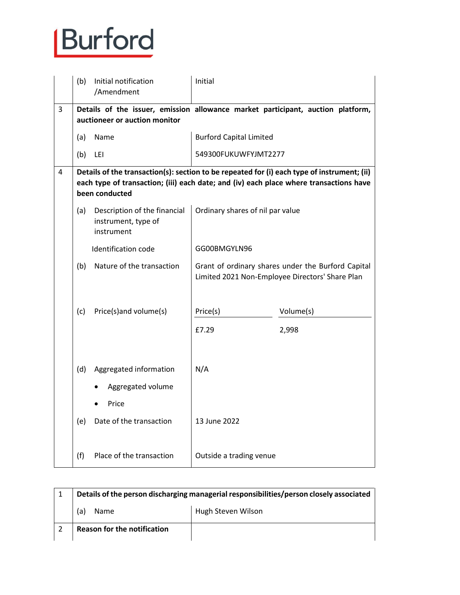|   | (b) | Initial notification<br>/Amendment                                | Initial                                                                                                                                                                               |           |  |
|---|-----|-------------------------------------------------------------------|---------------------------------------------------------------------------------------------------------------------------------------------------------------------------------------|-----------|--|
| 3 |     | auctioneer or auction monitor                                     | Details of the issuer, emission allowance market participant, auction platform,                                                                                                       |           |  |
|   | (a) | Name                                                              | <b>Burford Capital Limited</b>                                                                                                                                                        |           |  |
|   | (b) | LEI                                                               | 549300FUKUWFYJMT2277                                                                                                                                                                  |           |  |
| 4 |     | been conducted                                                    | Details of the transaction(s): section to be repeated for (i) each type of instrument; (ii)<br>each type of transaction; (iii) each date; and (iv) each place where transactions have |           |  |
|   | (a) | Description of the financial<br>instrument, type of<br>instrument | Ordinary shares of nil par value                                                                                                                                                      |           |  |
|   |     | Identification code                                               | GG00BMGYLN96                                                                                                                                                                          |           |  |
|   | (b) | Nature of the transaction                                         | Grant of ordinary shares under the Burford Capital<br>Limited 2021 Non-Employee Directors' Share Plan                                                                                 |           |  |
|   | (c) | Price(s)and volume(s)                                             | Price(s)                                                                                                                                                                              | Volume(s) |  |
|   |     |                                                                   | £7.29                                                                                                                                                                                 | 2,998     |  |
|   | (d) | Aggregated information<br>Aggregated volume                       | N/A                                                                                                                                                                                   |           |  |
|   |     | Price                                                             |                                                                                                                                                                                       |           |  |
|   | (e) | Date of the transaction                                           | 13 June 2022                                                                                                                                                                          |           |  |
|   | (f) | Place of the transaction                                          | Outside a trading venue                                                                                                                                                               |           |  |

| Details of the person discharging managerial responsibilities/person closely associated |                    |  |
|-----------------------------------------------------------------------------------------|--------------------|--|
| Name<br>a                                                                               | Hugh Steven Wilson |  |
| <b>Reason for the notification</b>                                                      |                    |  |